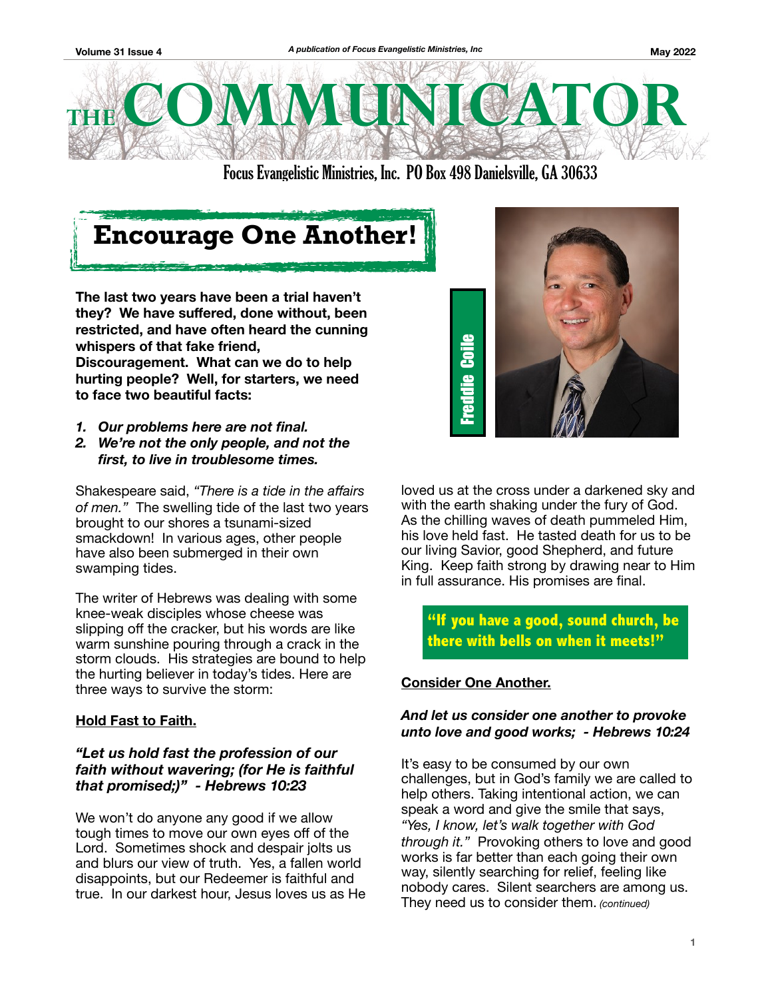

Focus Evangelistic Ministries, Inc. PO Box 498 Danielsville, GA 30633

# **Encourage One Another!**

**The last two years have been a trial haven't they? We have suffered, done without, been restricted, and have often heard the cunning whispers of that fake friend, Discouragement. What can we do to help hurting people? Well, for starters, we need to face two beautiful facts:** 

- *1. Our problems here are not final.*
- *2. We're not the only people, and not the first, to live in troublesome times.*

Shakespeare said, *"There is a tide in the affairs of men."* The swelling tide of the last two years brought to our shores a tsunami-sized smackdown! In various ages, other people have also been submerged in their own swamping tides.

The writer of Hebrews was dealing with some knee-weak disciples whose cheese was slipping off the cracker, but his words are like warm sunshine pouring through a crack in the storm clouds. His strategies are bound to help the hurting believer in today's tides. Here are three ways to survive the storm:

## **Hold Fast to Faith.**

## *"Let us hold fast the profession of our faith without wavering; (for He is faithful that promised;)" - Hebrews 10:23*

We won't do anyone any good if we allow tough times to move our own eyes off of the Lord. Sometimes shock and despair jolts us and blurs our view of truth. Yes, a fallen world disappoints, but our Redeemer is faithful and true. In our darkest hour, Jesus loves us as He



loved us at the cross under a darkened sky and with the earth shaking under the fury of God. As the chilling waves of death pummeled Him, his love held fast. He tasted death for us to be our living Savior, good Shepherd, and future King. Keep faith strong by drawing near to Him in full assurance. His promises are final.

## **"If you have a good, sound church, be there with bells on when it meets!"**

## **Consider One Another.**

### *And let us consider one another to provoke unto love and good works; - Hebrews 10:24*

It's easy to be consumed by our own challenges, but in God's family we are called to help others. Taking intentional action, we can speak a word and give the smile that says, *"Yes, I know, let's walk together with God through it."* Provoking others to love and good works is far better than each going their own way, silently searching for relief, feeling like nobody cares. Silent searchers are among us. They need us to consider them. *(continued)*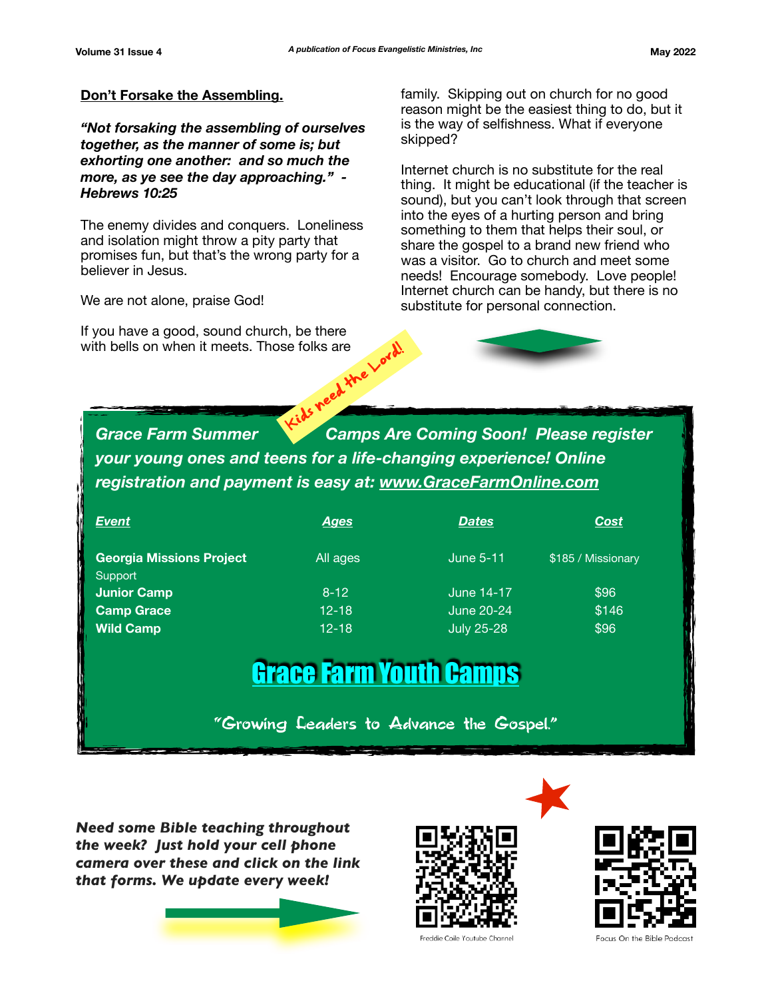#### **Don't Forsake the Assembling.**

*"Not forsaking the assembling of ourselves together, as the manner of some is; but exhorting one another: and so much the more, as ye see the day approaching." - Hebrews 10:25* 

The enemy divides and conquers. Loneliness and isolation might throw a pity party that promises fun, but that's the wrong party for a believer in Jesus.

We are not alone, praise God!

If you have a good, sound church, be there with bells on when it meets. Those folks are family. Skipping out on church for no good reason might be the easiest thing to do, but it is the way of selfishness. What if everyone skipped?

Internet church is no substitute for the real thing. It might be educational (if the teacher is sound), but you can't look through that screen into the eyes of a hurting person and bring something to them that helps their soul, or share the gospel to a brand new friend who was a visitor. Go to church and meet some needs! Encourage somebody. Love people! Internet church can be handy, but there is no substitute for personal connection.

**Grace Farm Summer Camps Are Coming Soon! Please register** *your young ones and teens for a life-changing experience! Online registration and payment is easy at: [www.GraceFarmOnline.com](http://www.GraceFarmOnline.com)* Se folks are Lord!

| <b>Event</b>                               | <u>Ages</u> | <b>Dates</b>      | Cost               |
|--------------------------------------------|-------------|-------------------|--------------------|
| <b>Georgia Missions Project</b><br>Support | All ages    | <b>June 5-11</b>  | \$185 / Missionary |
| <b>Junior Camp</b>                         | $8-12$      | June 14-17        | \$96               |
| <b>Camp Grace</b>                          | $12 - 18$   | <b>June 20-24</b> | \$146              |
| <b>Wild Camp</b>                           | $12 - 18$   | <b>July 25-28</b> | \$96               |

# [Grace Farm Youth Camps](https://www.gracefarmonline.com)

"Growing Leaders to Advance the Gospel."

*Need some Bible teaching throughout the week? Just hold your cell phone camera over these and click on the link that forms. We update every week!*







**Focus On the Bible Podcast**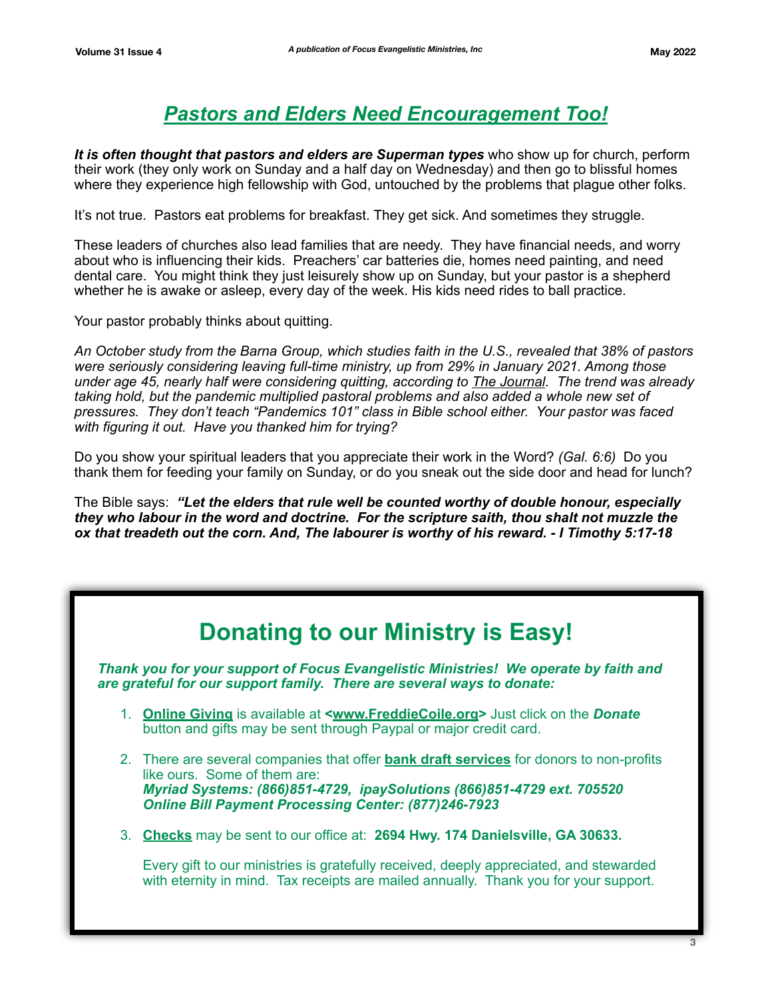## *Pastors and Elders Need Encouragement Too!*

*It is often thought that pastors and elders are Superman types* who show up for church, perform their work (they only work on Sunday and a half day on Wednesday) and then go to blissful homes where they experience high fellowship with God, untouched by the problems that plague other folks.

It's not true. Pastors eat problems for breakfast. They get sick. And sometimes they struggle.

These leaders of churches also lead families that are needy. They have financial needs, and worry about who is influencing their kids. Preachers' car batteries die, homes need painting, and need dental care. You might think they just leisurely show up on Sunday, but your pastor is a shepherd whether he is awake or asleep, every day of the week. His kids need rides to ball practice.

Your pastor probably thinks about quitting.

*An October study from the Barna Group, which studies faith in the U.S., revealed that 38% of pastors were seriously considering leaving full-time ministry, up from 29% in January 2021. Among those under age 45, nearly half were considering quitting, according to The Journal. The trend was already taking hold, but the pandemic multiplied pastoral problems and also added a whole new set of pressures. They don't teach "Pandemics 101" class in Bible school either. Your pastor was faced with figuring it out. Have you thanked him for trying?* 

Do you show your spiritual leaders that you appreciate their work in the Word? *(Gal. 6:6)* Do you thank them for feeding your family on Sunday, or do you sneak out the side door and head for lunch?

The Bible says: *"Let the elders that rule well be counted worthy of double honour, especially they who labour in the word and doctrine. For the scripture saith, thou shalt not muzzle the ox that treadeth out the corn. And, The labourer is worthy of his reward. - I Timothy 5:17-18*

## **Donating to our Ministry is Easy!**

*Thank you for your support of Focus Evangelistic Ministries! We operate by faith and are grateful for our support family. There are several ways to donate:* 

- 1. **Online Giving** is available at **<[www.FreddieCoile.org>](http://www.freddiecoile.org)** Just click on the *Donate* button and gifts may be sent through Paypal or major credit card.
- 2. There are several companies that offer **bank draft services** for donors to non-profits like ours. Some of them are: *Myriad Systems: (866)851-4729, ipaySolutions (866)851-4729 ext. 705520 Online Bill Payment Processing Center: (877)246-7923*
- 3. **Checks** may be sent to our office at: **2694 Hwy. 174 Danielsville, GA 30633.**

Every gift to our ministries is gratefully received, deeply appreciated, and stewarded with eternity in mind. Tax receipts are mailed annually. Thank you for your support.